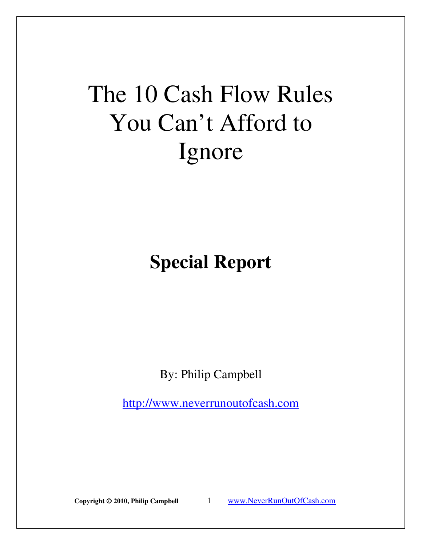# The 10 Cash Flow Rules You Can't Afford to Ignore

# **Special Report**

By: Philip Campbell

http://www.neverrunoutofcash.com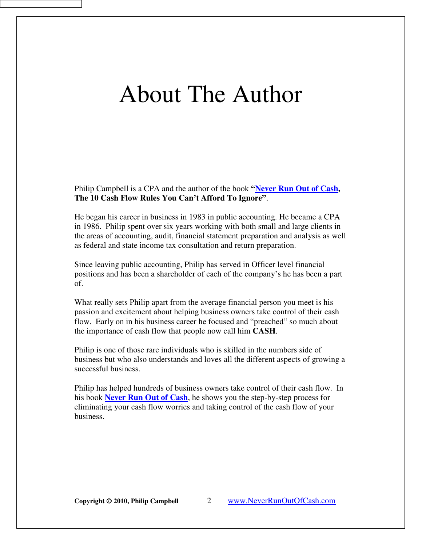# About The Author

Philip Campbell is a CPA and the author of the book **"[Never Run Out of Cash](http://www.neverrunoutofcash.com/buythebook.htm), The 10 Cash Flow Rules You Can't Afford To Ignore"**.

He began his career in business in 1983 in public accounting. He became a CPA in 1986. Philip spent over six years working with both small and large clients in the areas of accounting, audit, financial statement preparation and analysis as well as federal and state income tax consultation and return preparation.

Since leaving public accounting, Philip has served in Officer level financial positions and has been a shareholder of each of the company's he has been a part of.

What really sets Philip apart from the average financial person you meet is his passion and excitement about helping business owners take control of their cash flow. Early on in his business career he focused and "preached" so much about the importance of cash flow that people now call him **CASH**.

Philip is one of those rare individuals who is skilled in the numbers side of business but who also understands and loves all the different aspects of growing a successful business.

Philip has helped hundreds of business owners take control of their cash flow. In his book **[Never Run Out of Cash](http://www.neverrunoutofcash.com/buythebook.htm)**, he shows you the step-by-step process for eliminating your cash flow worries and taking control of the cash flow of your business.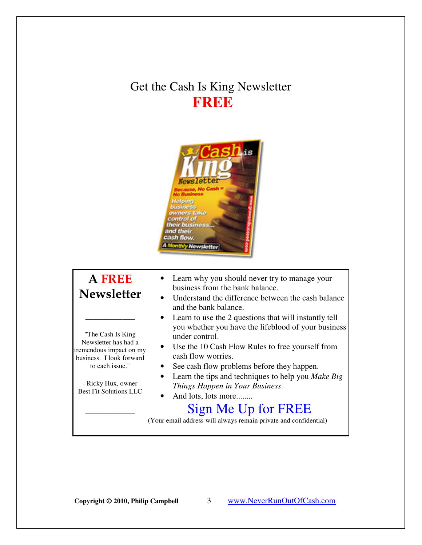## Get the Cash Is King Newsletter **FREE**



### A FREE Newsletter

\_\_\_\_\_\_\_\_\_\_\_\_

"The Cash Is King Newsletter has had a tremendous impact on my business. I look forward to each issue."

- Ricky Hux, owner Best Fit Solutions LLC

 $\overline{\phantom{a}}$  , where  $\overline{\phantom{a}}$ 

- Learn why you should never try to manage your business from the bank balance.
- Understand the difference between the cash balance and the bank balance.
- Learn to use the 2 questions that will instantly tell you whether you have the lifeblood of your business under control.
- Use the 10 Cash Flow Rules to free yourself from cash flow worries.
- See cash flow problems before they happen.
- Learn the tips and techniques to help you *Make Big Things Happen in Your Business*.
- And lots, lots more........

## [Sign Me Up for FREE](http://www.neverrunoutofcash.com/newsletter.htm)

(Your email address will always remain private and confidential)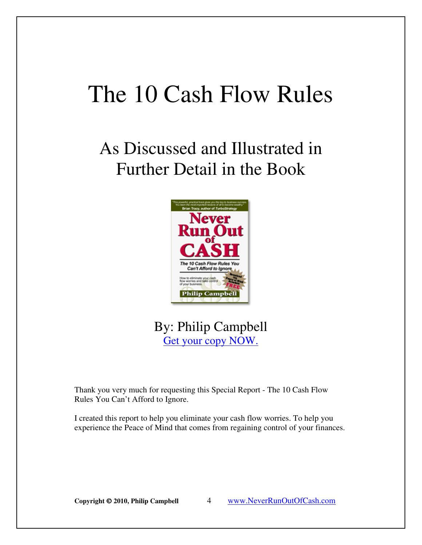# The 10 Cash Flow Rules

# As Discussed and Illustrated in Further Detail in the Book



## By: Philip Campbell [Get your copy NOW.](http://www.neverrunoutofcash.com/buythebook.htm)

Thank you very much for requesting this Special Report - The 10 Cash Flow Rules You Can't Afford to Ignore.

I created this report to help you eliminate your cash flow worries. To help you experience the Peace of Mind that comes from regaining control of your finances.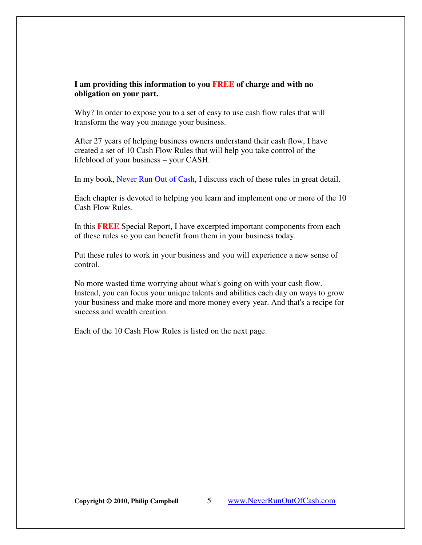#### **I am providing this information to you FREE of charge and with no obligation on your part.**

Why? In order to expose you to a set of easy to use cash flow rules that will transform the way you manage your business.

After 27 years of helping business owners understand their cash flow, I have created a set of 10 Cash Flow Rules that will help you take control of the lifeblood of your business – your CASH.

In my book, [Never Run Out of Cash,](http://www.neverrunoutofcash.com/buythebook.htm) I discuss each of these rules in great detail.

Each chapter is devoted to helping you learn and implement one or more of the 10 Cash Flow Rules.

In this **FREE** Special Report, I have excerpted important components from each of these rules so you can benefit from them in your business today.

Put these rules to work in your business and you will experience a new sense of control.

No more wasted time worrying about what's going on with your cash flow. Instead, you can focus your unique talents and abilities each day on ways to grow your business and make more and more money every year. And that's a recipe for success and wealth creation.

Each of the 10 Cash Flow Rules is listed on the next page.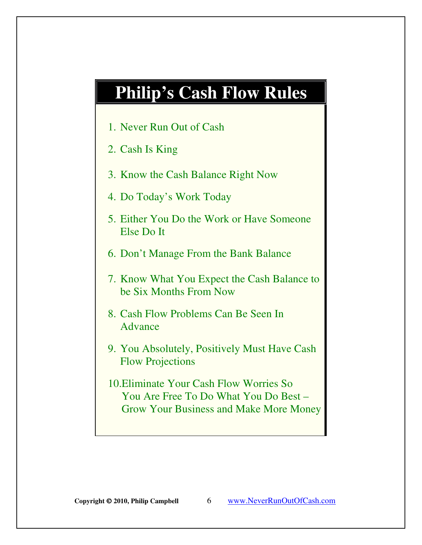# **Philip's Cash Flow Rules**

- 1. Never Run Out of Cash
- 2. Cash Is King
- 3. Know the Cash Balance Right Now
- 4. Do Today's Work Today
- 5. Either You Do the Work or Have Someone Else Do It
- 6. Don't Manage From the Bank Balance
- 7. Know What You Expect the Cash Balance to be Six Months From Now
- 8. Cash Flow Problems Can Be Seen In Advance
- 9. You Absolutely, Positively Must Have Cash Flow Projections
- 10.Eliminate Your Cash Flow Worries So You Are Free To Do What You Do Best – Grow Your Business and Make More Money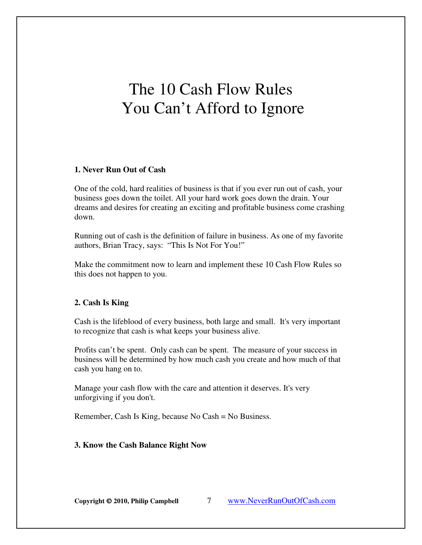# The 10 Cash Flow Rules You Can't Afford to Ignore

#### **1. Never Run Out of Cash**

One of the cold, hard realities of business is that if you ever run out of cash, your business goes down the toilet. All your hard work goes down the drain. Your dreams and desires for creating an exciting and profitable business come crashing down.

Running out of cash is the definition of failure in business. As one of my favorite authors, Brian Tracy, says: "This Is Not For You!"

Make the commitment now to learn and implement these 10 Cash Flow Rules so this does not happen to you.

#### **2. Cash Is King**

Cash is the lifeblood of every business, both large and small. It's very important to recognize that cash is what keeps your business alive.

Profits can't be spent. Only cash can be spent. The measure of your success in business will be determined by how much cash you create and how much of that cash you hang on to.

Manage your cash flow with the care and attention it deserves. It's very unforgiving if you don't.

Remember, Cash Is King, because No Cash = No Business.

#### **3. Know the Cash Balance Right Now**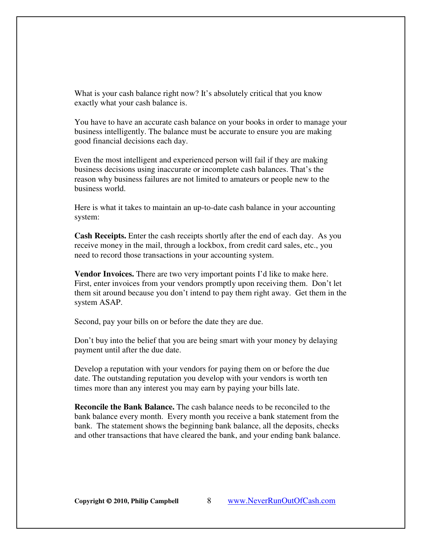What is your cash balance right now? It's absolutely critical that you know exactly what your cash balance is.

You have to have an accurate cash balance on your books in order to manage your business intelligently. The balance must be accurate to ensure you are making good financial decisions each day.

Even the most intelligent and experienced person will fail if they are making business decisions using inaccurate or incomplete cash balances. That's the reason why business failures are not limited to amateurs or people new to the business world.

Here is what it takes to maintain an up-to-date cash balance in your accounting system:

**Cash Receipts.** Enter the cash receipts shortly after the end of each day. As you receive money in the mail, through a lockbox, from credit card sales, etc., you need to record those transactions in your accounting system.

**Vendor Invoices.** There are two very important points I'd like to make here. First, enter invoices from your vendors promptly upon receiving them. Don't let them sit around because you don't intend to pay them right away. Get them in the system ASAP.

Second, pay your bills on or before the date they are due.

Don't buy into the belief that you are being smart with your money by delaying payment until after the due date.

Develop a reputation with your vendors for paying them on or before the due date. The outstanding reputation you develop with your vendors is worth ten times more than any interest you may earn by paying your bills late.

**Reconcile the Bank Balance.** The cash balance needs to be reconciled to the bank balance every month. Every month you receive a bank statement from the bank. The statement shows the beginning bank balance, all the deposits, checks and other transactions that have cleared the bank, and your ending bank balance.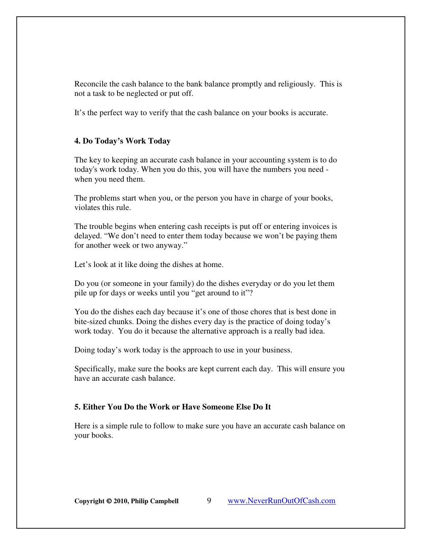Reconcile the cash balance to the bank balance promptly and religiously. This is not a task to be neglected or put off.

It's the perfect way to verify that the cash balance on your books is accurate.

#### **4. Do Today's Work Today**

The key to keeping an accurate cash balance in your accounting system is to do today's work today. When you do this, you will have the numbers you need when you need them.

The problems start when you, or the person you have in charge of your books, violates this rule.

The trouble begins when entering cash receipts is put off or entering invoices is delayed. "We don't need to enter them today because we won't be paying them for another week or two anyway."

Let's look at it like doing the dishes at home.

Do you (or someone in your family) do the dishes everyday or do you let them pile up for days or weeks until you "get around to it"?

You do the dishes each day because it's one of those chores that is best done in bite-sized chunks. Doing the dishes every day is the practice of doing today's work today. You do it because the alternative approach is a really bad idea.

Doing today's work today is the approach to use in your business.

Specifically, make sure the books are kept current each day. This will ensure you have an accurate cash balance.

#### **5. Either You Do the Work or Have Someone Else Do It**

Here is a simple rule to follow to make sure you have an accurate cash balance on your books.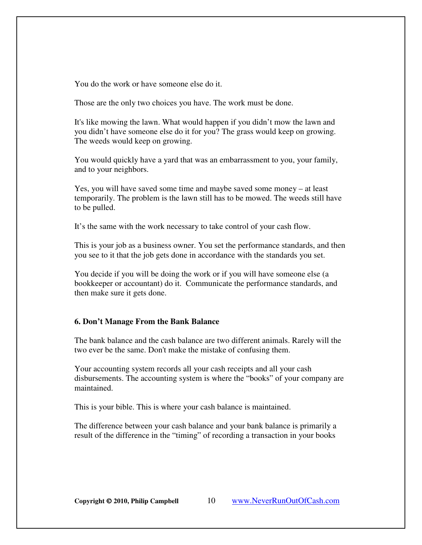You do the work or have someone else do it.

Those are the only two choices you have. The work must be done.

It's like mowing the lawn. What would happen if you didn't mow the lawn and you didn't have someone else do it for you? The grass would keep on growing. The weeds would keep on growing.

You would quickly have a yard that was an embarrassment to you, your family, and to your neighbors.

Yes, you will have saved some time and maybe saved some money – at least temporarily. The problem is the lawn still has to be mowed. The weeds still have to be pulled.

It's the same with the work necessary to take control of your cash flow.

This is your job as a business owner. You set the performance standards, and then you see to it that the job gets done in accordance with the standards you set.

You decide if you will be doing the work or if you will have someone else (a bookkeeper or accountant) do it. Communicate the performance standards, and then make sure it gets done.

#### **6. Don't Manage From the Bank Balance**

The bank balance and the cash balance are two different animals. Rarely will the two ever be the same. Don't make the mistake of confusing them.

Your accounting system records all your cash receipts and all your cash disbursements. The accounting system is where the "books" of your company are maintained.

This is your bible. This is where your cash balance is maintained.

The difference between your cash balance and your bank balance is primarily a result of the difference in the "timing" of recording a transaction in your books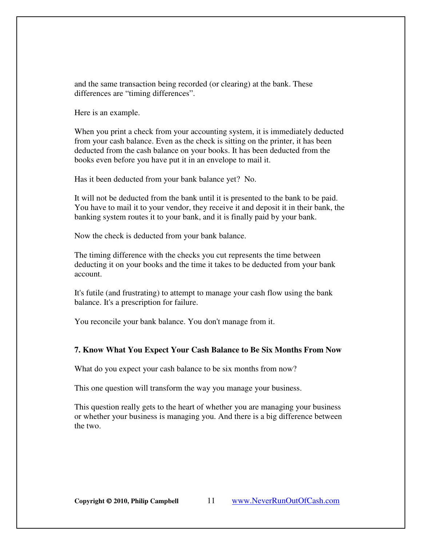and the same transaction being recorded (or clearing) at the bank. These differences are "timing differences".

Here is an example.

When you print a check from your accounting system, it is immediately deducted from your cash balance. Even as the check is sitting on the printer, it has been deducted from the cash balance on your books. It has been deducted from the books even before you have put it in an envelope to mail it.

Has it been deducted from your bank balance yet? No.

It will not be deducted from the bank until it is presented to the bank to be paid. You have to mail it to your vendor, they receive it and deposit it in their bank, the banking system routes it to your bank, and it is finally paid by your bank.

Now the check is deducted from your bank balance.

The timing difference with the checks you cut represents the time between deducting it on your books and the time it takes to be deducted from your bank account.

It's futile (and frustrating) to attempt to manage your cash flow using the bank balance. It's a prescription for failure.

You reconcile your bank balance. You don't manage from it.

#### **7. Know What You Expect Your Cash Balance to Be Six Months From Now**

What do you expect your cash balance to be six months from now?

This one question will transform the way you manage your business.

This question really gets to the heart of whether you are managing your business or whether your business is managing you. And there is a big difference between the two.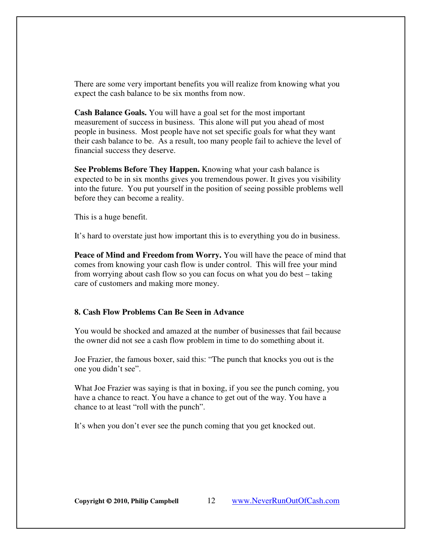There are some very important benefits you will realize from knowing what you expect the cash balance to be six months from now.

**Cash Balance Goals.** You will have a goal set for the most important measurement of success in business. This alone will put you ahead of most people in business. Most people have not set specific goals for what they want their cash balance to be. As a result, too many people fail to achieve the level of financial success they deserve.

**See Problems Before They Happen.** Knowing what your cash balance is expected to be in six months gives you tremendous power. It gives you visibility into the future. You put yourself in the position of seeing possible problems well before they can become a reality.

This is a huge benefit.

It's hard to overstate just how important this is to everything you do in business.

**Peace of Mind and Freedom from Worry.** You will have the peace of mind that comes from knowing your cash flow is under control. This will free your mind from worrying about cash flow so you can focus on what you do best – taking care of customers and making more money.

#### **8. Cash Flow Problems Can Be Seen in Advance**

You would be shocked and amazed at the number of businesses that fail because the owner did not see a cash flow problem in time to do something about it.

Joe Frazier, the famous boxer, said this: "The punch that knocks you out is the one you didn't see".

What Joe Frazier was saying is that in boxing, if you see the punch coming, you have a chance to react. You have a chance to get out of the way. You have a chance to at least "roll with the punch".

It's when you don't ever see the punch coming that you get knocked out.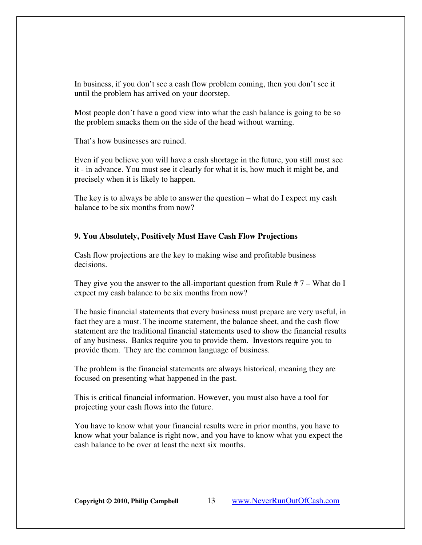In business, if you don't see a cash flow problem coming, then you don't see it until the problem has arrived on your doorstep.

Most people don't have a good view into what the cash balance is going to be so the problem smacks them on the side of the head without warning.

That's how businesses are ruined.

Even if you believe you will have a cash shortage in the future, you still must see it - in advance. You must see it clearly for what it is, how much it might be, and precisely when it is likely to happen.

The key is to always be able to answer the question – what do I expect my cash balance to be six months from now?

#### **9. You Absolutely, Positively Must Have Cash Flow Projections**

Cash flow projections are the key to making wise and profitable business decisions.

They give you the answer to the all-important question from Rule  $# 7 -$ What do I expect my cash balance to be six months from now?

The basic financial statements that every business must prepare are very useful, in fact they are a must. The income statement, the balance sheet, and the cash flow statement are the traditional financial statements used to show the financial results of any business. Banks require you to provide them. Investors require you to provide them. They are the common language of business.

The problem is the financial statements are always historical, meaning they are focused on presenting what happened in the past.

This is critical financial information. However, you must also have a tool for projecting your cash flows into the future.

You have to know what your financial results were in prior months, you have to know what your balance is right now, and you have to know what you expect the cash balance to be over at least the next six months.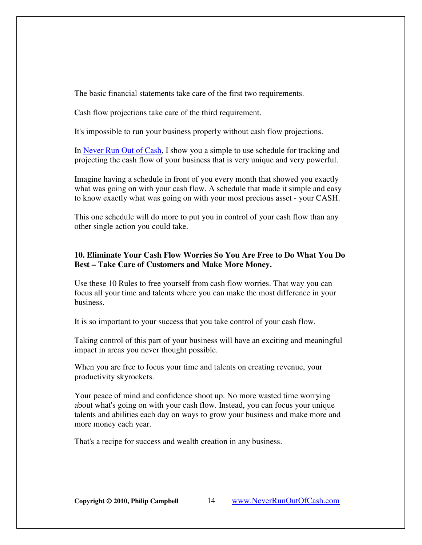The basic financial statements take care of the first two requirements.

Cash flow projections take care of the third requirement.

It's impossible to run your business properly without cash flow projections.

In [Never Run Out of Cash,](http://www.neverrunoutofcash.com/buythebook.htm) I show you a simple to use schedule for tracking and projecting the cash flow of your business that is very unique and very powerful.

Imagine having a schedule in front of you every month that showed you exactly what was going on with your cash flow. A schedule that made it simple and easy to know exactly what was going on with your most precious asset - your CASH.

This one schedule will do more to put you in control of your cash flow than any other single action you could take.

#### **10. Eliminate Your Cash Flow Worries So You Are Free to Do What You Do Best – Take Care of Customers and Make More Money.**

Use these 10 Rules to free yourself from cash flow worries. That way you can focus all your time and talents where you can make the most difference in your business.

It is so important to your success that you take control of your cash flow.

Taking control of this part of your business will have an exciting and meaningful impact in areas you never thought possible.

When you are free to focus your time and talents on creating revenue, your productivity skyrockets.

Your peace of mind and confidence shoot up. No more wasted time worrying about what's going on with your cash flow. Instead, you can focus your unique talents and abilities each day on ways to grow your business and make more and more money each year.

That's a recipe for success and wealth creation in any business.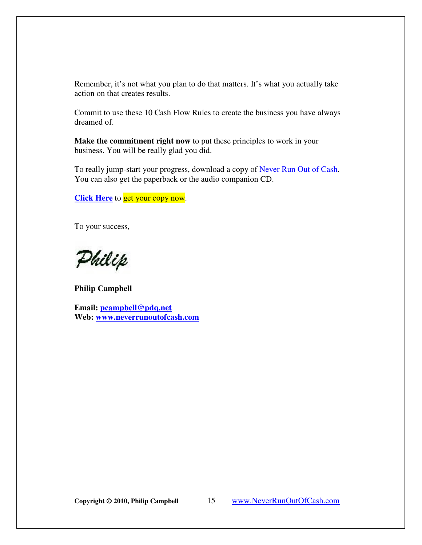Remember, it's not what you plan to do that matters. It's what you actually take action on that creates results.

Commit to use these 10 Cash Flow Rules to create the business you have always dreamed of.

**Make the commitment right now** to put these principles to work in your business. You will be really glad you did.

To really jump-start your progress, download a copy of Never Run Out of Cash. You can also get the paperback or the audio companion CD.

**[Click Here](http://www.neverrunoutofcash.com/buythebook.htm)** to get your copy now.

To your success,

Philip

**Philip Campbell** 

**Email: pcampbell@pdq.net Web: www.neverrunoutofcash.com**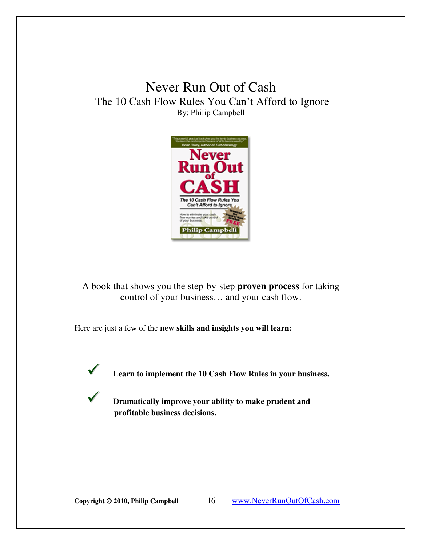### Never Run Out of Cash The 10 Cash Flow Rules You Can't Afford to Ignore By: Philip Campbell



A book that shows you the step-by-step **proven process** for taking control of your business… and your cash flow.

Here are just a few of the **new skills and insights you will learn:**



**Learn to implement the 10 Cash Flow Rules in your business.** 

 **Dramatically improve your ability to make prudent and profitable business decisions.**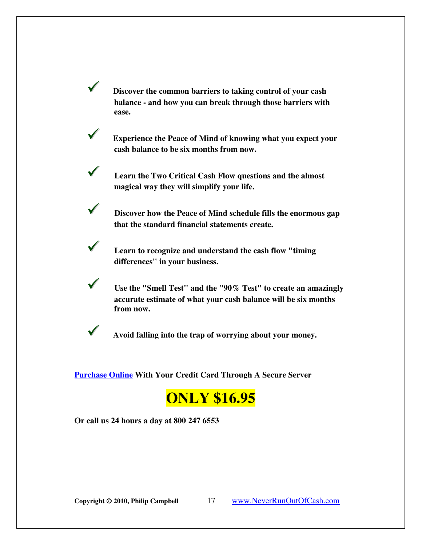**Discover the common barriers to taking control of your cash balance - and how you can break through those barriers with ease.**

 **Experience the Peace of Mind of knowing what you expect your cash balance to be six months from now.**

 **Learn the Two Critical Cash Flow questions and the almost magical way they will simplify your life.** 

 **Discover how the Peace of Mind schedule fills the enormous gap that the standard financial statements create.**

 **Learn to recognize and understand the cash flow "timing differences" in your business.**

 **Use the "Smell Test" and the "90% Test" to create an amazingly accurate estimate of what your cash balance will be six months from now.**

**Avoid falling into the trap of worrying about your money.**

**[Purchase Online](http://www.neverrunoutofcash.com/buythebook.htm) With Your Credit Card Through A Secure Server** 

# **ONLY \$16.95**

**Or call us 24 hours a day at 800 247 6553**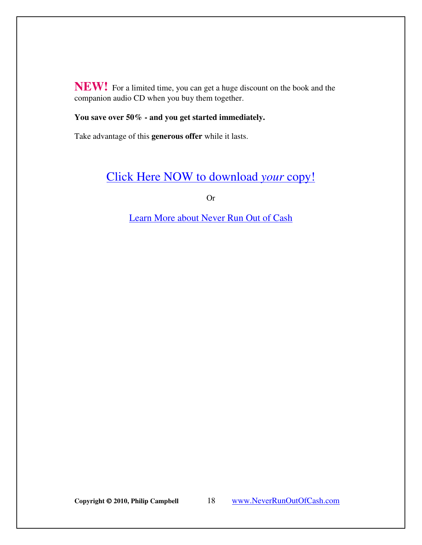**NEW!** For a limited time, you can get a huge discount on the book and the companion audio CD when you buy them together.

#### **You save over 50% - and you get started immediately.**

Take advantage of this **generous offer** while it lasts.

### [Click Here NOW to download](http://www.neverrunoutofcash.com/buythebook.htm) *your* copy!

Or

Learn More about Never Run Out of Cash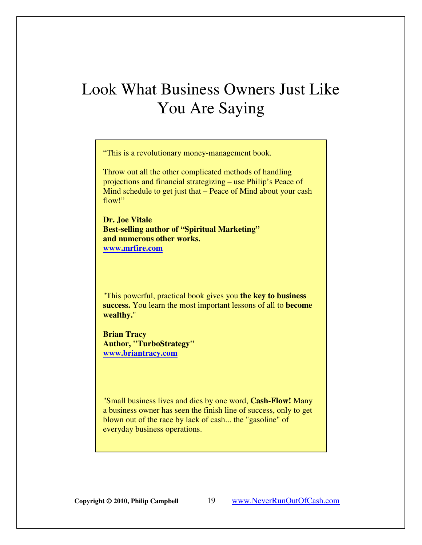# Look What Business Owners Just Like You Are Saying

"This is a revolutionary money-management book.

Throw out all the other complicated methods of handling projections and financial strategizing – use Philip's Peace of Mind schedule to get just that – Peace of Mind about your cash flow!"

**Dr. Joe Vitale Best-selling author of "Spiritual Marketing" and numerous other works. www.mrfire.com**

"This powerful, practical book gives you **the key to business success.** You learn the most important lessons of all to **become wealthy.**"

**Brian Tracy Author, "TurboStrategy" www.briantracy.com**

"Small business lives and dies by one word, **Cash-Flow!** Many a business owner has seen the finish line of success, only to get blown out of the race by lack of cash... the "gasoline" of everyday business operations.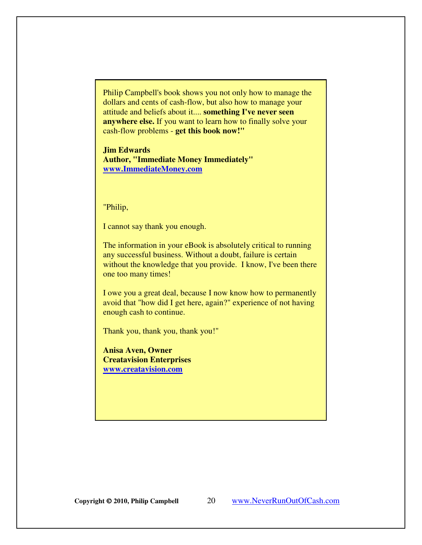Philip Campbell's book shows you not only how to manage the dollars and cents of cash-flow, but also how to manage your attitude and beliefs about it.... **something I've never seen anywhere else.** If you want to learn how to finally solve your cash-flow problems - **get this book now!"**

**Jim Edwards Author, "Immediate Money Immediately" www.ImmediateMoney.com**

"Philip,

I cannot say thank you enough.

The information in your eBook is absolutely critical to running any successful business. Without a doubt, failure is certain without the knowledge that you provide. I know, I've been there one too many times!

I owe you a great deal, because I now know how to permanently avoid that "how did I get here, again?" experience of not having enough cash to continue.

Thank you, thank you, thank you!"

**Anisa Aven, Owner Creatavision Enterprises www.creatavision.com**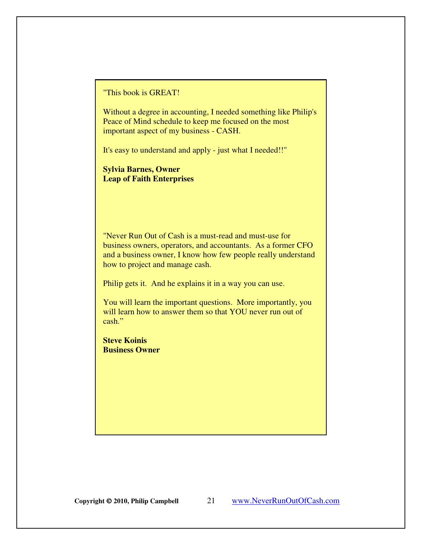"This book is GREAT!

Without a degree in accounting, I needed something like Philip's Peace of Mind schedule to keep me focused on the most important aspect of my business - CASH.

It's easy to understand and apply - just what I needed!!"

**Sylvia Barnes, Owner Leap of Faith Enterprises** 

"Never Run Out of Cash is a must-read and must-use for business owners, operators, and accountants. As a former CFO and a business owner, I know how few people really understand how to project and manage cash.

Philip gets it. And he explains it in a way you can use.

You will learn the important questions. More importantly, you will learn how to answer them so that YOU never run out of cash."

**Steve Koinis Business Owner**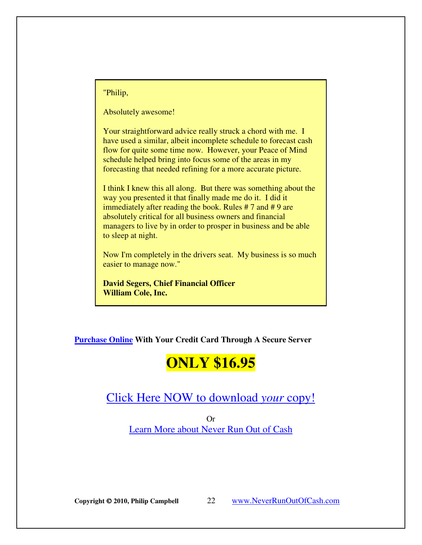"Philip,

Absolutely awesome!

Your straightforward advice really struck a chord with me. I have used a similar, albeit incomplete schedule to forecast cash flow for quite some time now. However, your Peace of Mind schedule helped bring into focus some of the areas in my forecasting that needed refining for a more accurate picture.

I think I knew this all along. But there was something about the way you presented it that finally made me do it. I did it immediately after reading the book. Rules #7 and #9 are absolutely critical for all business owners and financial managers to live by in order to prosper in business and be able to sleep at night.

Now I'm completely in the drivers seat. My business is so much easier to manage now."

**David Segers, Chief Financial Officer William Cole, Inc.**

**[Purchase Online W](http://www.neverrunoutofcash.com/buythebook.htm)ith Your Credit Card Through A Secure Server** 

# **ONLY \$16.95**

### [Click Here NOW to download](http://www.neverrunoutofcash.com/buythebook.htm) *your* copy!

Or [Learn More about Never Run Out of Cash](http://www.neverrunoutofcash.com/buythebook.htm)

**Copyright 2010, Philip Campbell** 22 www.NeverRunOutOfCash.com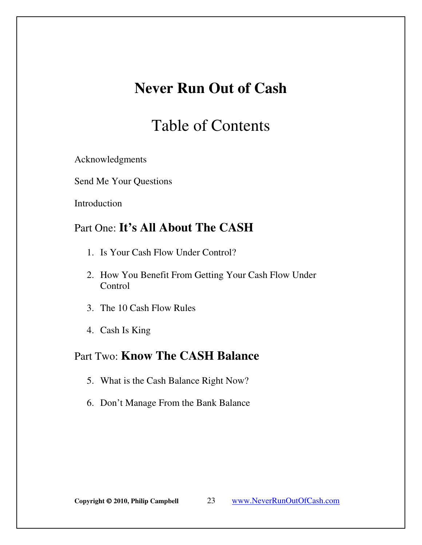# **Never Run Out of Cash**

# Table of Contents

Acknowledgments

Send Me Your Questions

Introduction

### Part One: **It's All About The CASH**

- 1. Is Your Cash Flow Under Control?
- 2. How You Benefit From Getting Your Cash Flow Under Control
- 3. The 10 Cash Flow Rules
- 4. Cash Is King

### Part Two: **Know The CASH Balance**

- 5. What is the Cash Balance Right Now?
- 6. Don't Manage From the Bank Balance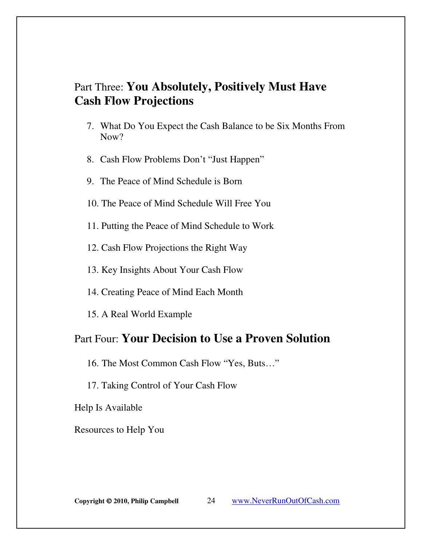### Part Three: **You Absolutely, Positively Must Have Cash Flow Projections**

- 7. What Do You Expect the Cash Balance to be Six Months From Now?
- 8. Cash Flow Problems Don't "Just Happen"
- 9. The Peace of Mind Schedule is Born
- 10. The Peace of Mind Schedule Will Free You
- 11. Putting the Peace of Mind Schedule to Work
- 12. Cash Flow Projections the Right Way
- 13. Key Insights About Your Cash Flow
- 14. Creating Peace of Mind Each Month
- 15. A Real World Example

### Part Four: **Your Decision to Use a Proven Solution**

16. The Most Common Cash Flow "Yes, Buts…"

17. Taking Control of Your Cash Flow

Help Is Available

Resources to Help You